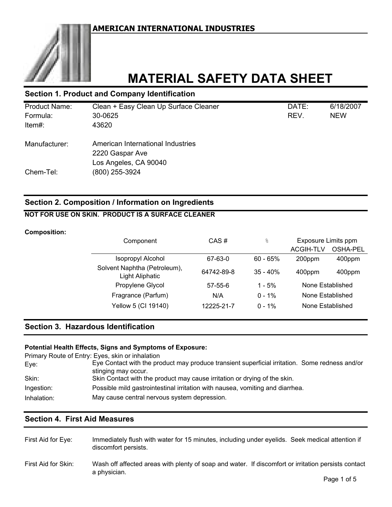

# **MATERIAL SAFETY DATA SHEET**

## **Section 1. Product and Company Identification**

| <b>Product Name:</b> | Clean + Easy Clean Up Surface Cleaner | DATE: | 6/18/2007  |
|----------------------|---------------------------------------|-------|------------|
| Formula:             | 30-0625                               | REV.  | <b>NEW</b> |
| Item#:               | 43620                                 |       |            |
| Manufacturer:        | American International Industries     |       |            |
|                      | 2220 Gaspar Ave                       |       |            |
|                      | Los Angeles, CA 90040                 |       |            |
| Chem-Tel:            | (800) 255-3924                        |       |            |

## **Section 2. Composition / Information on Ingredients**

## **NOT FOR USE ON SKIN. PRODUCT IS A SURFACE CLEANER**

#### **Composition:**

| Component                                       | CAS#          | $\frac{6}{5}$ | Exposure Limits ppm |                 |
|-------------------------------------------------|---------------|---------------|---------------------|-----------------|
|                                                 |               |               | <b>ACGIH-TLV</b>    | <b>OSHA-PEL</b> |
| <b>Isopropyl Alcohol</b>                        | 67-63-0       | $60 - 65%$    | 200ppm              | 400ppm          |
| Solvent Naphtha (Petroleum),<br>Light Aliphatic | 64742-89-8    | $35 - 40%$    | 400ppm              | 400ppm          |
| Propylene Glycol                                | $57 - 55 - 6$ | $1 - 5%$      | None Established    |                 |
| Fragrance (Parfum)                              | N/A           | $0 - 1\%$     | None Established    |                 |
| Yellow 5 (CI 19140)                             | 12225-21-7    | $0 - 1\%$     | None Established    |                 |

## **Section 3. Hazardous Identification**

#### **Potential Health Effects, Signs and Symptoms of Exposure:**

|             | Primary Route of Entry: Eyes, skin or inhalation                                               |
|-------------|------------------------------------------------------------------------------------------------|
| Eye:        | Eye Contact with the product may produce transient superficial irritation. Some redness and/or |
|             | stinging may occur.                                                                            |
| Skin:       | Skin Contact with the product may cause irritation or drying of the skin.                      |
| Ingestion:  | Possible mild gastrointestinal irritation with nausea, vomiting and diarrhea.                  |
| Inhalation: | May cause central nervous system depression.                                                   |

## **Section 4. First Aid Measures**

| First Aid for Eye:  | Immediately flush with water for 15 minutes, including under eyelids. Seek medical attention if<br>discomfort persists. |
|---------------------|-------------------------------------------------------------------------------------------------------------------------|
| First Aid for Skin: | Wash off affected areas with plenty of soap and water. If discomfort or irritation persists contact<br>a physician.     |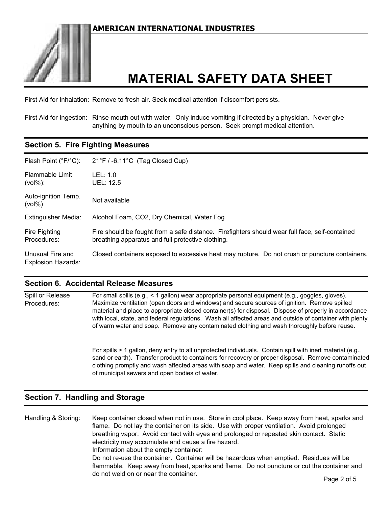

# **MATERIAL SAFETY DATA SHEET**

First Aid for Inhalation: Remove to fresh air. Seek medical attention if discomfort persists.

First Aid for Ingestion: Rinse mouth out with water. Only induce vomiting if directed by a physician. Never give anything by mouth to an unconscious person. Seek prompt medical attention.

# **Section 5. Fire Fighting Measures**

| Flash Point (°F/°C):                          | $21^{\circ}$ F / -6.11 $^{\circ}$ C (Tag Closed Cup)                                                                                                |
|-----------------------------------------------|-----------------------------------------------------------------------------------------------------------------------------------------------------|
| Flammable Limit<br>$(vol\%):$                 | LEL: 1.0<br><b>UEL: 12.5</b>                                                                                                                        |
| Auto-ignition Temp.<br>$(vol\%)$              | Not available                                                                                                                                       |
| <b>Extinguisher Media:</b>                    | Alcohol Foam, CO2, Dry Chemical, Water Fog                                                                                                          |
| Fire Fighting<br>Procedures:                  | Fire should be fought from a safe distance. Firefighters should wear full face, self-contained<br>breathing apparatus and full protective clothing. |
| Unusual Fire and<br><b>Explosion Hazards:</b> | Closed containers exposed to excessive heat may rupture. Do not crush or puncture containers.                                                       |

### **Section 6. Accidental Release Measures**

| Spill or Release | For small spills (e.g., < 1 gallon) wear appropriate personal equipment (e.g., goggles, gloves).                                                                                                                                                                                                                                                                                                                |
|------------------|-----------------------------------------------------------------------------------------------------------------------------------------------------------------------------------------------------------------------------------------------------------------------------------------------------------------------------------------------------------------------------------------------------------------|
| Procedures:      | Maximize ventilation (open doors and windows) and secure sources of ignition. Remove spilled<br>material and place to appropriate closed container(s) for disposal. Dispose of properly in accordance<br>with local, state, and federal regulations. Wash all affected areas and outside of container with plenty<br>of warm water and soap. Remove any contaminated clothing and wash thoroughly before reuse. |
|                  | For spills > 1 gallon, deny entry to all unprotected individuals. Contain spill with inert material (e.g.,<br>sand or earth). Transfer product to containers for recovery or proper disposal. Remove contaminated<br>clothing promptly and wash affected areas with soap and water. Keep spills and cleaning runoffs out                                                                                        |

of municipal sewers and open bodies of water.

### **Section 7. Handling and Storage**

Handling & Storing: Keep container closed when not in use. Store in cool place. Keep away from heat, sparks and flame. Do not lay the container on its side. Use with proper ventilation. Avoid prolonged breathing vapor. Avoid contact with eyes and prolonged or repeated skin contact. Static electricity may accumulate and cause a fire hazard. Information about the empty container: Do not re-use the container. Container will be hazardous when emptied. Residues will be flammable. Keep away from heat, sparks and flame. Do not puncture or cut the container and do not weld on or near the container.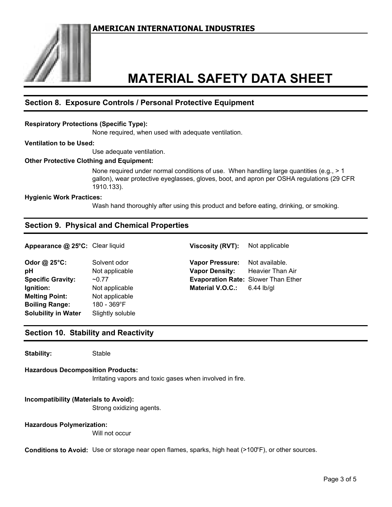

# **MATERIAL SAFETY DATA SHEET**

## **Section 8. Exposure Controls / Personal Protective Equipment**

#### **Respiratory Protections (Specific Type):**

None required, when used with adequate ventilation.

#### **Ventilation to be Used:**

Use adequate ventilation.

#### **Other Protective Clothing and Equipment:**

None required under normal conditions of use. When handling large quantities (e.g.,  $> 1$ gallon), wear protective eyeglasses, gloves, boot, and apron per OSHA regulations (29 CFR 1910.133).

#### **Hygienic Work Practices:**

Wash hand thoroughly after using this product and before eating, drinking, or smoking.

### **Section 9. Physical and Chemical Properties**

**Appearance @ 25°C:** Clear liquid **Viscosity (RVT):** Not applicable

**Odor @ 25°C:** Solvent odor **pH** Not applicable **Specific Gravity:** ~0.77 **Ignition:** Not applicable **Melting Point:** Not applicable **Boiling Range:** 180 - 369°F **Solubility in Water** Slightly soluble

| <b>Vapor Pressure:</b>                     | Not available.          |
|--------------------------------------------|-------------------------|
| <b>Vapor Density:</b>                      | <b>Heavier Than Air</b> |
| <b>Evaporation Rate: Slower Than Ether</b> |                         |
| <b>Material V.O.C.:</b>                    | $6.44$ lb/gl            |

#### **Section 10. Stability and Reactivity**

**Stability:** Stable

#### **Hazardous Decomposition Products:**

Irritating vapors and toxic gases when involved in fire.

#### **Incompatibility (Materials to Avoid):**

Strong oxidizing agents.

#### **Hazardous Polymerization:**

Will not occur

**Conditions to Avoid:** Use or storage near open flames, sparks, high heat (>100°F), or other sources.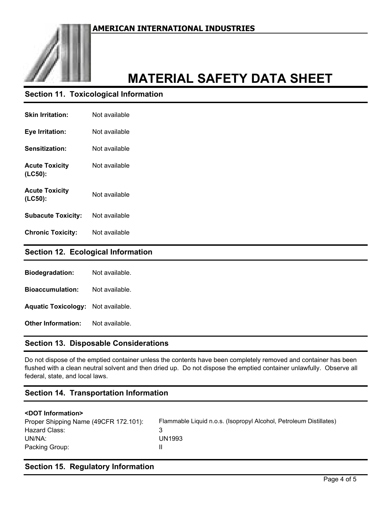

# **MATERIAL SAFETY DATA SHEET**

## **Section 11. Toxicological Information**

| <b>Skin Irritation:</b>          | Not available |
|----------------------------------|---------------|
| Eye Irritation:                  | Not available |
| <b>Sensitization:</b>            | Not available |
| <b>Acute Toxicity</b><br>(LC50): | Not available |
| <b>Acute Toxicity</b><br>(LC50): | Not available |
| <b>Subacute Toxicity:</b>        | Not available |
| <b>Chronic Toxicity:</b>         | Not available |

### **Section 12. Ecological Information**

| <b>Biodegradation:</b>     | Not available. |
|----------------------------|----------------|
| <b>Bioaccumulation:</b>    | Not available. |
| <b>Aquatic Toxicology:</b> | Not available. |
| <b>Other Information:</b>  | Not available. |

# **Section 13. Disposable Considerations**

Do not dispose of the emptied container unless the contents have been completely removed and container has been flushed with a clean neutral solvent and then dried up. Do not dispose the emptied container unlawfully. Observe all federal, state, and local laws.

## **Section 14. Transportation Information**

### **<DOT Information>**

| Proper Shipping Name (49CFR 172.101): | Flammable Liquid n.o.s. (Isopropyl Alcohol, Petroleum Distillates) |
|---------------------------------------|--------------------------------------------------------------------|
| Hazard Class:                         |                                                                    |
| UN/NA:                                | UN1993                                                             |
| Packing Group:                        |                                                                    |

## **Section 15. Regulatory Information**